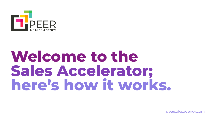

# Welcome to the **Sales Accelerator; here's how it works.**

peersalesagency.com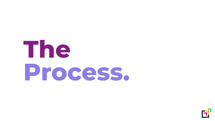# **The Process.**

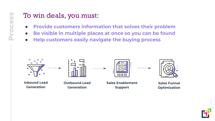#### To win deals, you must:

- **● Provide customers information that solves their problem**
- **● Be visible in multiple places at once so you can be found**
- **● Help customers easily navigate the buying process**



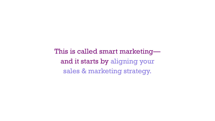This is called smart marketing and it starts by aligning your sales & marketing strategy.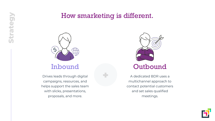#### How smarketing is different.

+



**Strategy**

Drives leads through digital campaigns, resources, and helps support the sales team with slicks, presentations, proposals, and more.



A dedicated BDR uses a multichannel approach to contact potential customers and set sales qualified meetings.

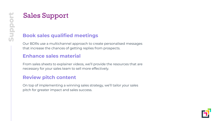### Sales Support

#### **Book sales qualified meetings**

Our BDRs use a multichannel approach to create personalised messages that increase the chances of getting replies from prospects.

#### **Enhance sales material**

From sales sheets to explainer videos, we'll provide the resources that are necessary for your sales team to sell more effectively.

#### **Review pitch content**

On top of implementing a winning sales strategy, we'll tailor your sales pitch for greater impact and sales success.

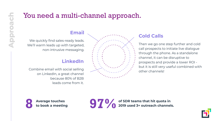#### You need a multi-channel approach.

#### **Email**

We quickly find sales-ready leads. We'll warm leads up with targeted, non-intrusive messaging.

#### **LinkedIn**

Combine email with social selling on LinkedIn, a great channel because 80% of B2B leads come from it.



#### **Cold Calls**

Then we go one step further and cold call prospects to initiate live dialogue through the phone. As a standalone channel, it can be disruptive to prospects and provide a lower ROI but it is still very useful combined with other channels!



**97** *O* of SDR teams that hit quota in **2019** used 3+ outreach channels.

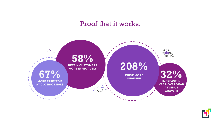#### Proof that it works.



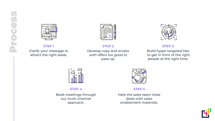



Clarify your message to attract the right leads.

Develop copy and scripts with offers too good to pass up.



#### **STEP 1 STEP 2 STEP 3**

Build hyper-targeted lists to get in front of the right people at the right time.



Book meetings through our multi-channel approach.



**STEP 4 STEP 5**

Help the sales team close deals with sales enablement materials.

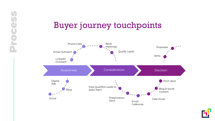## Buyer journey touchpoints

Process

**Seco.** 

U



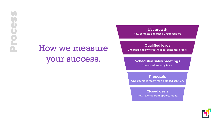## How we measure

#### your success.

**List growth**

New contacts & reduced unsubscribers.

**Qualified leads**

Engaged leads who fit the ideal customer profile.

#### **Scheduled sales meetings**

Conversation-ready leads.

**Proposals**

Opportunities ready for a detailed solution.

New revenue from opportunities. **Closed deals**